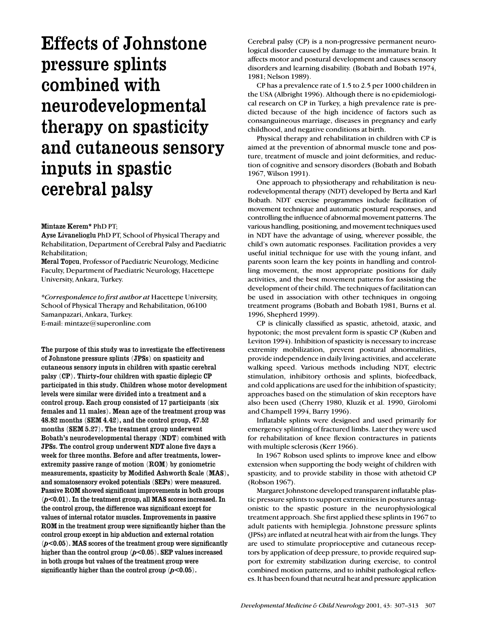# Effects of Johnstone pressure splints combined with neurodevelopmental therapy on spasticity and cutaneous sensory inputs in spastic cerebral palsy

# Mintaze Kerem\* PhD PT;

Ayse Livanelioglu PhD PT, School of Physical Therapy and Rehabilitation, Department of Cerebral Palsy and Paediatric Rehabilitation;

Meral Topcu, Professor of Paediatric Neurology, Medicine Faculty, Department of Paediatric Neurology, Hacettepe University, Ankara, Turkey.

*\*Correspondence to first author at* Hacettepe University, School of Physical Therapy and Rehabilitation, 06100 Samanpazari, Ankara, Turkey. E-mail: mintaze@superonline.com

The purpose of this study was to investigate the effectiveness of Johnstone pressure splints (JPSs) on spasticity and cutaneous sensory inputs in children with spastic cerebral palsy (CP). Thirty-four children with spastic diplegic CP participated in this study. Children whose motor development levels were similar were divided into a treatment and a control group. Each group consisted of 17 participants (six females and 11 males). Mean age of the treatment group was 48.82 months (SEM 4.42), and the control group, 47.52 months (SEM 5.27). The treatment group underwent Bobath's neurodevelopmental therapy (NDT) combined with JPSs. The control group underwent NDT alone five days a week for three months. Before and after treatments, lowerextremity passive range of motion (ROM) by goniometric measurements, spasticity by Modified Ashworth Scale (MAS), and somatosensory evoked potentials (SEPs) were measured. Passive ROM showed significant improvements in both groups (*p*<0.01). In the treatment group, all MAS scores increased. In the control group, the difference was significant except for values of internal rotator muscles. Improvements in passive ROM in the treatment group were significantly higher than the control group except in hip abduction and external rotation (*p*<0.05). MAS scores of the treatment group were significantly higher than the control group ( $p$ <0.05). SEP values increased in both groups but values of the treatment group were significantly higher than the control group  $(p<0.05)$ .

Cerebral palsy (CP) is a non-progressive permanent neurological disorder caused by damage to the immature brain. It affects motor and postural development and causes sensory disorders and learning disability. (Bobath and Bobath 1974, 1981; Nelson 1989).

CP has a prevalence rate of 1.5 to 2.5 per 1000 children in the USA (Albright 1996). Although there is no epidemiological research on CP in Turkey, a high prevalence rate is predicted because of the high incidence of factors such as consanguineous marriage, diseases in pregnancy and early childhood, and negative conditions at birth.

Physical therapy and rehabilitation in children with CP is aimed at the prevention of abnormal muscle tone and posture, treatment of muscle and joint deformities, and reduction of cognitive and sensory disorders (Bobath and Bobath 1967, Wilson 1991).

One approach to physiotherapy and rehabilitation is neurodevelopmental therapy (NDT) developed by Berta and Karl Bobath. NDT exercise programmes include facilitation of movement technique and automatic postural responses, and controlling the influence of abnormal movement patterns. The various handling, positioning, and movement techniques used in NDT have the advantage of using, wherever possible, the child's own automatic responses. Facilitation provides a very useful initial technique for use with the young infant, and parents soon learn the key points in handling and controlling movement, the most appropriate positions for daily activities, and the best movement patterns for assisting the development of their child. The techniques of facilitation can be used in association with other techniques in ongoing treatment programs (Bobath and Bobath 1981, Burns et al. 1996, Shepherd 1999).

CP is clinically classified as spastic, athetoid, ataxic, and hypotonic; the most prevalent form is spastic CP (Kuben and Leviton 1994). Inhibition of spasticity is necessary to increase extremity mobilization, prevent postural abnormalities, provide independence in daily living activities, and accelerate walking speed. Various methods including NDT, electric stimulation, inhibitory orthosis and splints, biofeedback, and cold applications are used for the inhibition of spasticity; approaches based on the stimulation of skin receptors have also been used (Cherry 1980, Kluzik et al. 1990, Girolomi and Champell 1994, Barry 1996).

Inflatable splints were designed and used primarily for emergency splinting of fractured limbs. Later they were used for rehabilitation of knee flexion contractures in patients with multiple sclerosis (Kerr 1966).

In 1967 Robson used splints to improve knee and elbow extension when supporting the body weight of children with spasticity, and to provide stability in those with athetoid CP (Robson 1967).

Margaret Johnstone developed transparent inflatable plastic pressure splints to support extremities in postures antagonistic to the spastic posture in the neurophysiological treatment approach. She first applied these splints in 1967 to adult patients with hemiplegia. Johnstone pressure splints (JPSs) are inflated at neutral heat with air from the lungs. They are used to stimulate proprioceptive and cutaneous receptors by application of deep pressure, to provide required support for extremity stabilization during exercise, to control combined motion patterns, and to inhibit pathological reflexes. It has been found that neutral heat and pressure application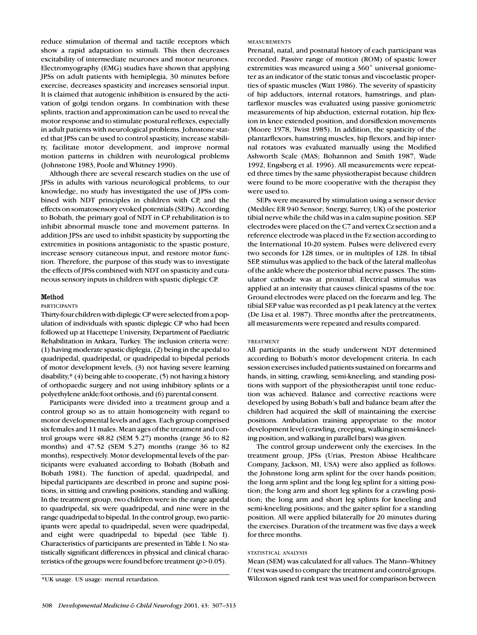reduce stimulation of thermal and tactile receptors which show a rapid adaptation to stimuli. This then decreases excitability of intermediate neurones and motor neurones. Electromyography (EMG) studies have shown that applying JPSs on adult patients with hemiplegia, 30 minutes before exercise, decreases spasticity and increases sensorial input. It is claimed that autogenic inhibition is ensured by the activation of golgi tendon organs. In combination with these splints, traction and approximation can be used to reveal the motor response and to stimulate postural reflexes, especially in adult patients with neurological problems. Johnstone stated that JPSs can be used to control spasticity, increase stability, facilitate motor development, and improve normal motion patterns in children with neurological problems (Johnstone 1983, Poole and Whitney 1990).

Although there are several research studies on the use of JPSs in adults with various neurological problems, to our knowledge, no study has investigated the use of JPSs combined with NDT principles in children with CP, and the effects on somatosensory evoked potentials (SEPs). According to Bobath, the primary goal of NDT in CP rehabilitation is to inhibit abnormal muscle tone and movement patterns. In addition JPSs are used to inhibit spasticity by supporting the extremities in positions antagonistic to the spastic posture, increase sensory cutaneous input, and restore motor function. Therefore, the purpose of this study was to investigate the effects of JPSs combined with NDT on spasticity and cutaneous sensory inputs in children with spastic diplegic CP.

# Method

## PARTICIPANTS

Thirty-four children with diplegic CP were selected from a population of individuals with spastic diplegic CP who had been followed up at Hacettepe University, Department of Paediatric Rehabilitation in Ankara, Turkey. The inclusion criteria were: (1) having moderate spastic diplegia, (2) being in the apedal to quadripedal, quadripedal, or quadripedal to bipedal periods of motor development levels, (3) not having severe learning disability,\* (4) being able to cooperate, (5) not having a history of orthopaedic surgery and not using inhibitory splints or a polyethylene ankle/foot orthosis, and (6) parental consent.

Participants were divided into a treatment group and a control group so as to attain homogeneity with regard to motor developmental levels and ages. Each group comprised six females and 11 males. Mean ages of the treatment and control groups were 48.82 (SEM 5.27) months (range 36 to 82 months) and 47.52 (SEM 5.27) months (range 36 to 82 months), respectively. Motor developmental levels of the participants were evaluated according to Bobath (Bobath and Bobath 1981). The function of apedal, quadripedal, and bipedal participants are described in prone and supine positions, in sitting and crawling positions, standing and walking. In the treatment group, two children were in the range apedal to quadripedal, six were quadripedal, and nine were in the range quadripedal to bipedal. In the control group, two participants were apedal to quadripedal, seven were quadripedal, and eight were quadripedal to bipedal (see Table I). Characteristics of participants are presented in Table I. No statistically significant differences in physical and clinical characteristics of the groups were found before treatment (*p*>0.05).

#### MEASUREMENTS

Prenatal, natal, and postnatal history of each participant was recorded. Passive range of motion (ROM) of spastic lower extremities was measured using a 360˚ universal goniometer as an indicator of the static tonus and viscoelastic properties of spastic muscles (Watt 1986). The severity of spasticity of hip adductors, internal rotators, hamstrings, and plantarflexor muscles was evaluated using passive goniometric measurements of hip abduction, external rotation, hip flexion in knee extended position, and dorsiflexion movements (Moore 1978, Twist 1985). In addition, the spasticity of the plantarflexors, hamstring muscles, hip flexors, and hip internal rotators was evaluated manually using the Modified Ashworth Scale (MAS; Bohannon and Smith 1987, Wade 1992, Engsberg et al. 1996). All measurements were repeated three times by the same physiotherapist because children were found to be more cooperative with the therapist they were used to.

SEPs were measured by stimulation using a sensor device (Medilec ER 940 Sensor; Snergy, Surrey, UK) of the posterior tibial nerve while the child was in a calm supine position. SEP electrodes were placed on the C7 and vertex Cz section and a reference electrode was placed in the Fz section according to the International 10-20 system. Pulses were delivered every two seconds for 128 times, or in multiples of 128. In tibial SEP, stimulus was applied to the back of the lateral malleolus of the ankle where the posterior tibial nerve passes. The stimulator cathode was at proximal. Electrical stimulus was applied at an intensity that causes clinical spasms of the toe. Ground electrodes were placed on the forearm and leg. The tibial SEP value was recorded as p1 peak latency at the vertex (De Lisa et al. 1987). Three months after the pretreatments, all measurements were repeated and results compared.

#### TREATMENT

All participants in the study underwent NDT determined according to Bobath's motor development criteria. In each session exercises included patients sustained on forearms and hands, in sitting, crawling, semi-kneeling, and standing positions with support of the physiotherapist until tone reduction was achieved. Balance and corrective reactions were developed by using Bobath's ball and balance beam after the children had acquired the skill of maintaining the exercise positions. Ambulation training appropriate to the motor development level (crawling, creeping, walking in semi-kneeling position, and walking in parallel bars) was given.

The control group underwent only the exercises. In the treatment group, JPSs (Urias, Preston Abisse Healthcare Company, Jackson, MI, USA) were also applied as follows: the Johnstone long arm splint for the over hands position; the long arm splint and the long leg splint for a sitting position; the long arm and short leg splints for a crawling position; the long arm and short leg splints for kneeling and semi-kneeling positions; and the gaiter splint for a standing position. All were applied bilaterally for 20 minutes during the exercises. Duration of the treatment was five days a week for three months.

### STATISTICAL ANALYSIS

Mean (SEM) was calculated for all values. The Mann–Whitney *U*test was used to compare the treatment and control groups. Wilcoxon signed rank test was used for comparison between

<sup>\*</sup>UK usage. US usage: mental retardation.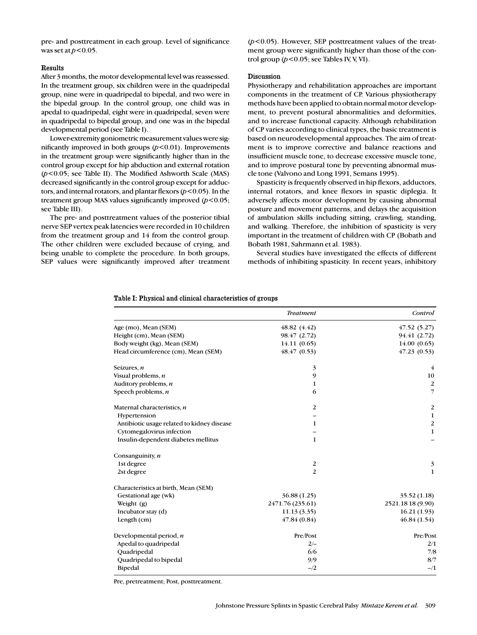pre- and posttreatment in each group. Level of significance was set at  $p$ <0.05.

# Results

After 3 months, the motor developmental level was reassessed. In the treatment group, six children were in the quadripedal group, nine were in quadripedal to bipedal, and two were in the bipedal group. In the control group, one child was in apedal to quadripedal, eight were in quadripedal, seven were in quadripedal to bipedal group, and one was in the bipedal developmental period (see Table I).

Lower-extremity goniometric measurement values were significantly improved in both groups (*p*<0.01). Improvements in the treatment group were significantly higher than in the control group except for hip abduction and external rotation (*p*<0.05; see Table II). The Modified Ashworth Scale (MAS) decreased significantly in the control group except for adductors, and internal rotators, and plantar flexors (*p*<0.05). In the treatment group MAS values significantly improved (*p*<0.05; see Table III).

The pre- and posttreatment values of the posterior tibial nerve SEP vertex peak latencies were recorded in 10 children from the treatment group and 14 from the control group. The other children were excluded because of crying, and being unable to complete the procedure. In both groups, SEP values were significantly improved after treatment (*p*<0.05). However, SEP posttreatment values of the treatment group were significantly higher than those of the control group  $(p<0.05$ ; see Tables IV, V, VI).

# Discussion

Physiotherapy and rehabilitation approaches are important components in the treatment of CP. Various physiotherapy methods have been applied to obtain normal motor development, to prevent postural abnormalities and deformities, and to increase functional capacity. Although rehabilitation of CP varies according to clinical types, the basic treatment is based on neurodevelopmental approaches. The aim of treatment is to improve corrective and balance reactions and insufficient muscle tone, to decrease excessive muscle tone, and to improve postural tone by preventing abnormal muscle tone (Valvono and Long 1991, Semans 1995).

Spasticity is frequently observed in hip flexors, adductors, internal rotators, and knee flexors in spastic diplegia. It adversely affects motor development by causing abnormal posture and movement patterns, and delays the acquisition of ambulation skills including sitting, crawling, standing, and walking. Therefore, the inhibition of spasticity is very important in the treatment of children with CP (Bobath and Bobath 1981, Sahrmann et al. 1983).

Several studies have investigated the effects of different methods of inhibiting spasticity. In recent years, inhibitory

# Table I: Physical and clinical characteristics of groups

|                                            | <b>Treatment</b> | Control           |
|--------------------------------------------|------------------|-------------------|
| Age (mo), Mean (SEM)                       | 48.82(4.42)      | 47.52(5.27)       |
| Height (cm), Mean (SEM)                    | 98.47 (2.72)     | 94.41 (2.72)      |
| Body weight (kg), Mean (SEM)               | 14.11(0.65)      | 14.00(0.65)       |
| Head circumference (cm), Mean (SEM)        | 48.47(0.53)      | 47.23(0.53)       |
| Seizures, $n$                              | 3                | 4                 |
| Visual problems, $n$                       | 9                | 10                |
| Auditory problems, $n$                     | 1                | $\overline{2}$    |
| Speech problems, $n$                       | 6                | 7                 |
| Maternal characteristics, n                | $\overline{2}$   | $\boldsymbol{2}$  |
| Hypertension                               |                  | $\mathbf{1}$      |
| Antibiotic usage related to kidney disease | 1                | $\boldsymbol{2}$  |
| Cytomegalovirus infection                  |                  | $\mathbf 1$       |
| Insulin-dependent diabetes mellitus        | $\mathbf{1}$     |                   |
| Consanguinity, n                           |                  |                   |
| 1st degree                                 | $\overline{2}$   | 3                 |
| 2st degree                                 | 2                | $\mathbf{1}$      |
| Characteristics at birth, Mean (SEM)       |                  |                   |
| Gestational age (wk)                       | 36.88 (1.25)     | 35.52(1.18)       |
| Weight $(g)$                               | 2471.76 (235.61) | 2521.18 18 (9.90) |
| Incubator stay (d)                         | 11.13(3.35)      | 16.21(1.93)       |
| Length $(cm)$                              | 47.84(0.84)      | 46.84(1.54)       |
| Developmental period, $n$                  | Pre/Post         | Pre/Post          |
| Apedal to quadripedal                      | $2/-$            | 2/1               |
| Quadripedal                                | 6/6              | 7/8               |
| Quadripedal to bipedal                     | 9/9              | 8/7               |
| <b>Bipedal</b>                             | $-$ /2           | $-1/1$            |

Pre, pretreatment; Post, posttreatment.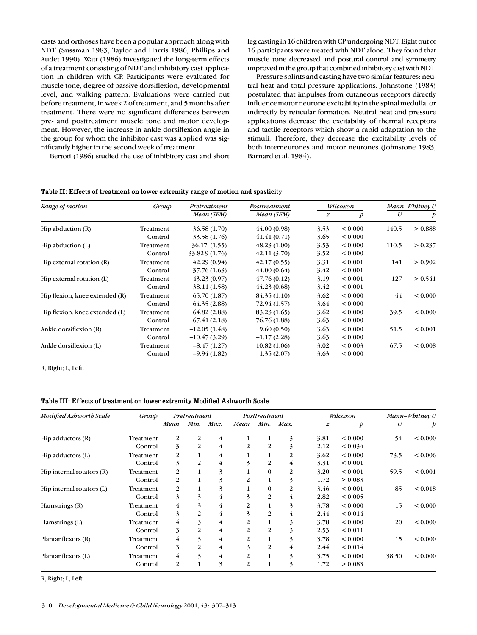casts and orthoses have been a popular approach along with NDT (Sussman 1983, Taylor and Harris 1986, Phillips and Audet 1990). Watt (1986) investigated the long-term effects of a treatment consisting of NDT and inhibitory cast application in children with CP. Participants were evaluated for muscle tone, degree of passive dorsiflexion, developmental level, and walking pattern. Evaluations were carried out before treatment, in week 2 of treatment, and 5 months after treatment. There were no significant differences between pre- and posttreatment muscle tone and motor development. However, the increase in ankle dorsiflexion angle in the group for whom the inhibitor cast was applied was significantly higher in the second week of treatment.

Bertoti (1986) studied the use of inhibitory cast and short

leg casting in 16 children with CP undergoing NDT. Eight out of 16 participants were treated with NDT alone. They found that muscle tone decreased and postural control and symmetry improved in the group that combined inhibitory cast with NDT.

Pressure splints and casting have two similar features: neutral heat and total pressure applications. Johnstone (1983) postulated that impulses from cutaneous receptors directly influence motor neurone excitability in the spinal medulla, or indirectly by reticular formation. Neutral heat and pressure applications decrease the excitability of thermal receptors and tactile receptors which show a rapid adaptation to the stimuli. Therefore, they decrease the excitability levels of both interneurones and motor neurones (Johnstone 1983, Barnard et al. 1984).

| Range of motion                | Group     | Pretreatment   | Posttreatment | Wilcoxon         |                  | Mann-Whitney U |              |
|--------------------------------|-----------|----------------|---------------|------------------|------------------|----------------|--------------|
|                                |           | Mean (SEM)     | Mean (SEM)    | $\boldsymbol{z}$ | $\boldsymbol{p}$ | U              | p            |
| Hip abduction (R)              | Treatment | 36.58(1.70)    | 44.00(0.98)   | 3.53             | < 0.000          | 140.5          | > 0.888      |
|                                | Control   | 33.58 (1.76)   | 41.41(0.71)   | 3.65             | < 0.000          |                |              |
| Hip abduction (L)              | Treatment | 36.17(1.55)    | 48.23(1.00)   | 3.53             | < 0.000          | 110.5          | > 0.237      |
|                                | Control   | 33.829 (1.76)  | (42.11(3.70)) | 3.52             | < 0.000          |                |              |
| Hip external rotation (R)      | Treatment | 42.29(0.94)    | 42.17(0.55)   | 3.31             | < 0.001          | 141            | > 0.902      |
|                                | Control   | 37.76 (1.63)   | 44.00(0.64)   | 3.42             | ${}_{0.001}$     |                |              |
| Hip external rotation (L)      | Treatment | 43.23(0.97)    | 47.76(0.12)   | 3.19             | < 0.001          | 127            | > 0.541      |
|                                | Control   | 38.11 (1.58)   | 44.23(0.68)   | 3.42             | < 0.001          |                |              |
| Hip flexion, knee extended (R) | Treatment | 65.70(1.87)    | 84.35 (1.10)  | 3.62             | < 0.000          | 44             | ${}_{0.000}$ |
|                                | Control   | 64.35 (2.88)   | 72.94 (1.57)  | 3.64             | < 0.000          |                |              |
| Hip flexion, knee extended (L) | Treatment | 64.82 (2.88)   | 83.23 (1.65)  | 3.62             | < 0.000          | 39.5           | < 0.000      |
|                                | Control   | 67.41(2.18)    | 76.76 (1.88)  | 3.63             | < 0.000          |                |              |
| Ankle dorsiflexion (R)         | Treatment | $-12.05(1.48)$ | 9.60(0.50)    | 3.63             | < 0.000          | 51.5           | ${}_{0.001}$ |
|                                | Control   | $-10.47(3.29)$ | $-1.17(2.28)$ | 3.63             | < 0.000          |                |              |
| Ankle dorsiflexion (L)         | Treatment | $-8.47(1.27)$  | 10.82(1.06)   | 3.02             | < 0.003          | 67.5           | ${}_{0.008}$ |
|                                | Control   | $-9.94(1.82)$  | 1.35(2.07)    | 3.63             | < 0.000          |                |              |
|                                |           |                |               |                  |                  |                |              |

# Table II: Effects of treatment on lower extremity range of motion and spasticity

R, Right; L, Left.

## Table III: Effects of treatment on lower extremity Modified Ashworth Scale

| Modified Asbworth Scale   | Group     |                | Pretreatment |      |                | Posttreatment  |      |           | Wilcoxon     |       | Mann-Whitney U |
|---------------------------|-----------|----------------|--------------|------|----------------|----------------|------|-----------|--------------|-------|----------------|
|                           |           | Mean           | Min.         | Max. | Mean           | Min.           | Max. | $\pmb{z}$ | p            | U     | p              |
| Hip adductors (R)         | Treatment | $\overline{c}$ | 2            | 4    |                |                | 3    | 3.81      | ${}_{0.000}$ | 54    | ${}_{0.000}$   |
|                           | Control   | 3              | 2            | 4    | 2              | 2              | 3    | 2.12      | < 0.034      |       |                |
| Hip adductors (L)         | Treatment | 2              | 1            | 4    |                |                | 2    | 3.62      | ${}_{0.000}$ | 73.5  | ${}_{0.006}$   |
|                           | Control   | 3              | 2            | 4    | 3              | $\overline{2}$ | 4    | 3.31      | < 0.001      |       |                |
| Hip internal rotators (R) | Treatment | 2              | 1            | 3    |                | 0              | 2    | 3.20      | ${}_{0.001}$ | 59.5  | ${}_{0.001}$   |
|                           | Control   | 2              |              | 3    | $\overline{c}$ |                | 3    | 1.72      | > 0.083      |       |                |
| Hip internal rotators (L) | Treatment | 2              |              | 3    |                | 0              | 2    | 3.46      | ${}_{0.001}$ | 85    | ${}_{0.018}$   |
|                           | Control   | 3              | 3            | 4    | 3              | 2              | 4    | 2.82      | < 0.005      |       |                |
| Hamstrings (R)            | Treatment | $\overline{4}$ | 3            | 4    | $\overline{c}$ |                | 3    | 3.78      | ${}_{0.000}$ | 15    | ${}_{0.000}$   |
|                           | Control   | 3              | 2            | 4    | 3              | $\overline{c}$ | 4    | 2.44      | < 0.014      |       |                |
| Hamstrings (L)            | Treatment | 4              | 3            | 4    | $\overline{c}$ |                | 3    | 3.78      | ${}_{0.000}$ | 20    | ${}_{0.000}$   |
|                           | Control   | 3              | 2            | 4    | 2              | $\overline{2}$ | 3    | 2.53      | < 0.011      |       |                |
| Plantar flexors (R)       | Treatment | 4              | 3            | 4    | 2              |                | 3    | 3.78      | ${}_{0.000}$ | 15    | ${}_{0.000}$   |
|                           | Control   | 3              | 2            | 4    | 3              | $\overline{2}$ | 4    | 2.44      | < 0.014      |       |                |
| Plantar flexors (L)       | Treatment | 4              | 3            | 4    | 2              |                | 3    | 3.75      | ${}_{0.000}$ | 38.50 | ${}_{0.000}$   |
|                           | Control   | 2              |              | 3    | 2              |                | 3    | 1.72      | > 0.083      |       |                |

R, Right; L, Left.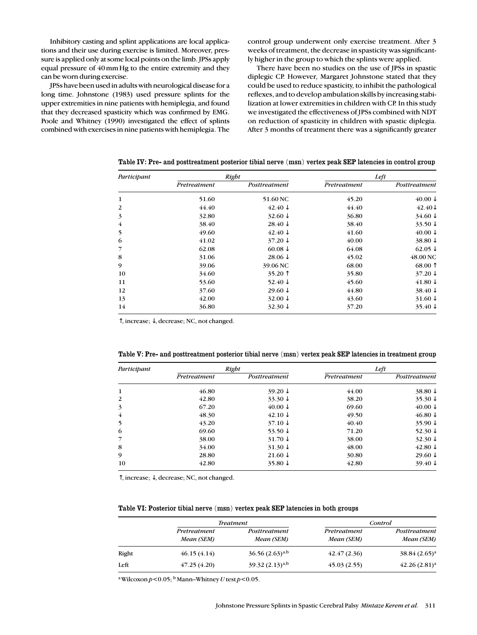Inhibitory casting and splint applications are local applications and their use during exercise is limited. Moreover, pressure is applied only at some local points on the limb. JPSs apply equal pressure of 40mmHg to the entire extremity and they can be worn during exercise.

JPSs have been used in adults with neurological disease for a long time. Johnstone (1983) used pressure splints for the upper extremities in nine patients with hemiplegia, and found that they decreased spasticity which was confirmed by EMG. Poole and Whitney (1990) investigated the effect of splints combined with exercises in nine patients with hemiplegia. The control group underwent only exercise treatment. After 3 weeks of treatment, the decrease in spasticity was significantly higher in the group to which the splints were applied.

There have been no studies on the use of JPSs in spastic diplegic CP. However, Margaret Johnstone stated that they could be used to reduce spasticity, to inhibit the pathological reflexes, and to develop ambulation skills by increasing stabilization at lower extremities in children with CP. In this study we investigated the effectiveness of JPSs combined with NDT on reduction of spasticity in children with spastic diplegia. After 3 months of treatment there was a significantly greater

| Participant    |              | Right              | Left         |                    |  |
|----------------|--------------|--------------------|--------------|--------------------|--|
|                | Pretreatment | Posttreatment      | Pretreatment | Posttreatment      |  |
| 1              | 51.60        | 51.60 NC           | 45.20        | $40.00\downarrow$  |  |
| 2              | 44.40        | $42.40\downarrow$  | 44.40        | $42.40\text{V}$    |  |
| 3              | 32.80        | $32.60 \downarrow$ | 36.80        | $34.60 \downarrow$ |  |
| $\overline{4}$ | 38.40        | 28.40 $\downarrow$ | 38.40        | 33.50 $\downarrow$ |  |
| 5              | 49.60        | $42.40\downarrow$  | 41.60        | $40.00\downarrow$  |  |
| 6              | 41.02        | $37.20 \downarrow$ | 40.00        | 38.80 $\downarrow$ |  |
| 7              | 62.08        | 60.08 $\downarrow$ | 64.08        | $62.05\downarrow$  |  |
| 8              | 31.06        | $28.06 \downarrow$ | 45.02        | 48.00 NC           |  |
| 9              | 39.06        | 39.06 NC           | 68.00        | $68.00$ $\uparrow$ |  |
| 10             | 34.60        | 35.20 $\uparrow$   | 35.80        | $37.20 \downarrow$ |  |
| 11             | 53.60        | 52.40 $\downarrow$ | 45.60        | $41.80\downarrow$  |  |
| 12             | 37.60        | $29.60 \downarrow$ | 44.80        | 38.40 $\downarrow$ |  |
| 13             | 42.00        | $32.00 \downarrow$ | 43.60        | $31.60\downarrow$  |  |
| 14             | 36.80        | $32.30 \downarrow$ | 37.20        | 35.40 $\downarrow$ |  |

Table IV: Pre- and posttreatment posterior tibial nerve (msn) vertex peak SEP latencies in control group

↑, increase; ↓, decrease; NC, not changed.

| Participant |              | Right              | Left         |                    |  |
|-------------|--------------|--------------------|--------------|--------------------|--|
|             | Pretreatment | Posttreatment      | Pretreatment | Posttreatment      |  |
| 1           | 46.80        | $39.20 \downarrow$ | 44.00        | 38.80 $\downarrow$ |  |
| 2           | 42.80        | 33.30 $\downarrow$ | 38.20        | 35.30 $\downarrow$ |  |
| 3           | 67.20        | $40.00\downarrow$  | 69.60        | $40.00 \downarrow$ |  |
| 4           | 48.30        | $42.10 \downarrow$ | 49.50        | $46.80\downarrow$  |  |
| 5           | 43.20        | $37.10 \downarrow$ | 40.40        | 35.90 $\downarrow$ |  |
| 6           | 69.60        | 53.50 $\downarrow$ | 71.20        | 52.30 $\downarrow$ |  |
|             | 38.00        | $31.70 \downarrow$ | 38.00        | $32.30 \downarrow$ |  |
| 8           | 34.00        | $31.30 \downarrow$ | 48.00        | $42.80\downarrow$  |  |
| 9           | 28.80        | 21.60 $\downarrow$ | 30.80        | 29.60 $\downarrow$ |  |
| 10          | 42.80        | 35.80 $\downarrow$ | 42.80        | 39.40 $\downarrow$ |  |

Table V: Pre- and posttreatment posterior tibial nerve (msn) vertex peak SEP latencies in treatment group

↑, increase; ↓, decrease; NC, not changed.

# Table VI: Posterior tibial nerve (msn) vertex peak SEP latencies in both groups

|       |                            | <b>Treatment</b>            | Control                    |                             |  |
|-------|----------------------------|-----------------------------|----------------------------|-----------------------------|--|
|       | Pretreatment<br>Mean (SEM) | Posttreatment<br>Mean (SEM) | Pretreatment<br>Mean (SEM) | Posttreatment<br>Mean (SEM) |  |
| Right | 46.15(4.14)                | $36.56(2.63)^{a,b}$         | 42.47(2.36)                | $38.84 (2.65)^a$            |  |
| Left  | 47.25(4.20)                | $39.32(2.13)^{a,b}$         | 45.03(2.55)                | $(42.26(2.81)^a)$           |  |

<sup>a</sup> Wilcoxon  $p$ <0.05; <sup>b</sup> Mann–Whitney *U* test  $p$ <0.05.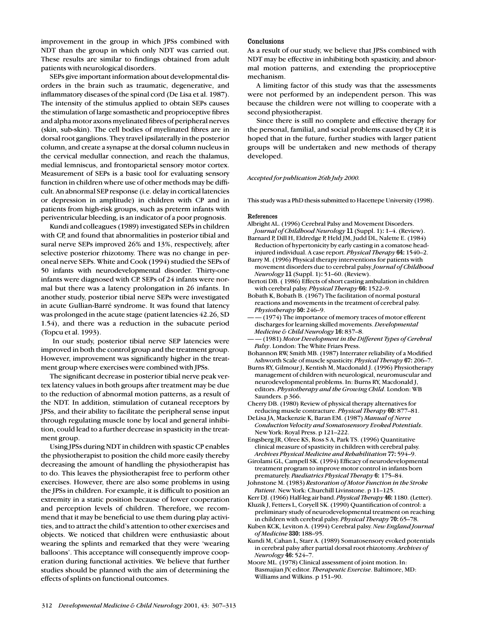improvement in the group in which JPSs combined with NDT than the group in which only NDT was carried out. These results are similar to findings obtained from adult patients with neurological disorders.

SEPs give important information about developmental disorders in the brain such as traumatic, degenerative, and inflammatory diseases of the spinal cord (De Lisa et al. 1987). The intensity of the stimulus applied to obtain SEPs causes the stimulation of large somasthetic and proprioceptive fibres and alpha motor axons myelinated fibres of peripheral nerves (skin, sub-skin). The cell bodies of myelinated fibres are in dorsal root ganglions. They travel ipsilaterally in the posterior column, and create a synapse at the dorsal column nucleus in the cervical medullar connection, and reach the thalamus, medial lemniscus, and frontoparietal sensory motor cortex. Measurement of SEPs is a basic tool for evaluating sensory function in children where use of other methods may be difficult. An abnormal SEP response (i.e. delay in cortical latencies or depression in amplitude) in children with CP and in patients from high-risk groups, such as preterm infants with periventricular bleeding, is an indicator of a poor prognosis.

Kundi and colleagues (1989) investigated SEPs in children with CP, and found that abnormalities in posterior tibial and sural nerve SEPs improved 26% and 13%, respectively, after selective posterior rhizotomy. There was no change in peroneal nerve SEPs. White and Cook (1994) studied the SEPs of 50 infants with neurodevelopmental disorder. Thirty-one infants were diagnosed with CP. SEPs of 24 infants were normal but there was a latency prolongation in 26 infants. In another study, posterior tibial nerve SEPs were investigated in acute Gullian-Barré syndrome. It was found that latency was prolonged in the acute stage (patient latencies 42.26, SD 1.54), and there was a reduction in the subacute period (Topcu et al. 1993).

In our study, posterior tibial nerve SEP latencies were improved in both the control group and the treatment group. However, improvement was significantly higher in the treatment group where exercises were combined with JPSs.

The significant decrease in posterior tibial nerve peak vertex latency values in both groups after treatment may be due to the reduction of abnormal motion patterns, as a result of the NDT. In addition, stimulation of cutaneal receptors by JPSs, and their ability to facilitate the peripheral sense input through regulating muscle tone by local and general inhibition, could lead to a further decrease in spasticity in the treatment group.

Using JPSs during NDT in children with spastic CP enables the physiotherapist to position the child more easily thereby decreasing the amount of handling the physiotherapist has to do. This leaves the physiotherapist free to perform other exercises. However, there are also some problems in using the JPSs in children. For example, it is difficult to position an extremity in a static position because of lower cooperation and perception levels of children. Therefore, we recommend that it may be beneficial to use them during play activities, and to attract the child's attention to other exercises and objects. We noticed that children were enthusiastic about wearing the splints and remarked that they were 'wearing balloons'. This acceptance will consequently improve cooperation during functional activities. We believe that further studies should be planned with the aim of determining the effects of splints on functional outcomes.

# Conclusions

As a result of our study, we believe that JPSs combined with NDT may be effective in inhibiting both spasticity, and abnormal motion patterns, and extending the proprioceptive mechanism.

A limiting factor of this study was that the assessments were not performed by an independent person. This was because the children were not willing to cooperate with a second physiotherapist.

Since there is still no complete and effective therapy for the personal, familial, and social problems caused by CP, it is hoped that in the future, further studies with larger patient groups will be undertaken and new methods of therapy developed.

# *Accepted for publication 26th July 2000.*

This study was a PhD thesis submitted to Hacettepe University (1998).

#### References

- Albright AL. (1996) Cerebral Palsy and Movement Disorders. *Journal of Childhood Neurology* 11 (Suppl. 1): 1–4. (Review).
- Barnard P, Dill H, Eldredge P, Held JM, Judd DL, Nalette E. (1984) Reduction of hypertonicity by early casting in a comatose headinjured individual. A case report. *Physical Therapy* 64: 1540–2.
- Barry M. (1996) Physical therapy interventions for patients with movement disorders due to cerebral palsy. *Journal of Childhood Neurology* 11 (Suppl. 1): 51–60. (Review).
- Bertoti DB. ( 1986) Effects of short casting ambulation in children with cerebral palsy. *Physical Therapy* 66: 1522–9.
- Bobath K, Bobath B. (1967) The facilitation of normal postural reactions and movements in the treatment of cerebral palsy. *Physiotherapy* 50: 246–9.
- — (1974) The importance of memory traces of motor efferent discharges for learning skilled movements. *Developmental Medicine & Child Neurology* 16: 837–8.
- — (1981) *Motor Development in the Different Types of Cerebral Palsy*. London: The White Friars Press.
- Bohannon RW, Smith MB. (1987) Interrater reliability of a Modified Ashworth Scale of muscle spasticity. *Physical Therapy* 67: 206–7.
- Burns RY, Gilmour J, Kentish M, Macdonald J. (1996) Physiotherapy management of children with neurological, neuromuscular and neurodevelopmental problems. In: Burns RY, Macdonald J, editors. *Physiotherapy and the Growing Child*. London: WB Saunders. p 366.
- Cherry DB. (1980) Review of physical therapy alternatives for reducing muscle contracture. *Physical Therapy* 60: 877–81.
- DeLisa JA, Mackenzie K, Baran EM. (1987) *Manual of Nerve Conduction Velocity and Somatosensory Evoked Potentials*. New York: Royal Press. p 121–222.
- Engsberg JR, Olree KS, Ross S A, Park TS. (1996) Quantitative clinical measure of spasticity in children with cerebral palsy. *Archives Physical Medicine and Rehabilitation* 77: 594–9.
- Girolami GL, Campell SK. (1994) Efficacy of neurodevelopmental treatment program to improve motor control in infants born prematurely. *Paediatrics Physical Therapy* 6: 175–84.
- Johnstone M. (1983) *Restoration of Motor Function in the Stroke Patient*. New York: Churchill Livinstone. p 11–125.
- Kerr DJ. (1966) Half-leg air band. *Physical Therapy* 46: 1180. (Letter). Kluzik J, Fetters L, Coryell SK. (1990) Quantification of control: a preliminary study of neurodevelopmental treatment on reaching
- in children with cerebral palsy. *Physical Therapy* 70: 65–78. Kuben KCK, Leviton A. (1994) Cerebral palsy. *New England Journal of Medicine* 330: 188–95.
- Kundi M, Cahan L, Starr A. (1989) Somatosensory evoked potentials in cerebral palsy after partial dorsal root rhizotomy. *Archives of Neurology* 46: 524–7.
- Moore ML. (1978) Clinical assessment of joint motion. In: Basmajian JV, editor. *Therapeutic Exercise*. Baltimore, MD: Williams and Wilkins. p 151–90.